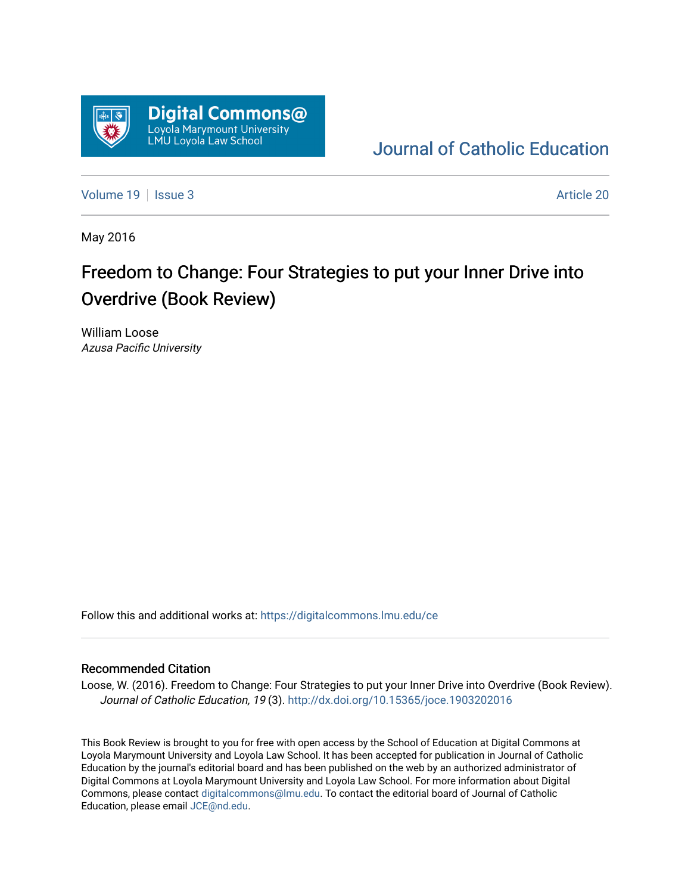

## [Journal of Catholic Education](https://digitalcommons.lmu.edu/ce)

[Volume 19](https://digitalcommons.lmu.edu/ce/vol19) | [Issue 3](https://digitalcommons.lmu.edu/ce/vol19/iss3) Article 20

May 2016

# Freedom to Change: Four Strategies to put your Inner Drive into Overdrive (Book Review)

William Loose Azusa Pacific University

Follow this and additional works at: [https://digitalcommons.lmu.edu/ce](https://digitalcommons.lmu.edu/ce?utm_source=digitalcommons.lmu.edu%2Fce%2Fvol19%2Fiss3%2F20&utm_medium=PDF&utm_campaign=PDFCoverPages)

### Recommended Citation

Loose, W. (2016). Freedom to Change: Four Strategies to put your Inner Drive into Overdrive (Book Review). Journal of Catholic Education, 19 (3).<http://dx.doi.org/10.15365/joce.1903202016>

This Book Review is brought to you for free with open access by the School of Education at Digital Commons at Loyola Marymount University and Loyola Law School. It has been accepted for publication in Journal of Catholic Education by the journal's editorial board and has been published on the web by an authorized administrator of Digital Commons at Loyola Marymount University and Loyola Law School. For more information about Digital Commons, please contact [digitalcommons@lmu.edu.](mailto:digitalcommons@lmu.edu) To contact the editorial board of Journal of Catholic Education, please email [JCE@nd.edu.](mailto:JCE@nd.edu)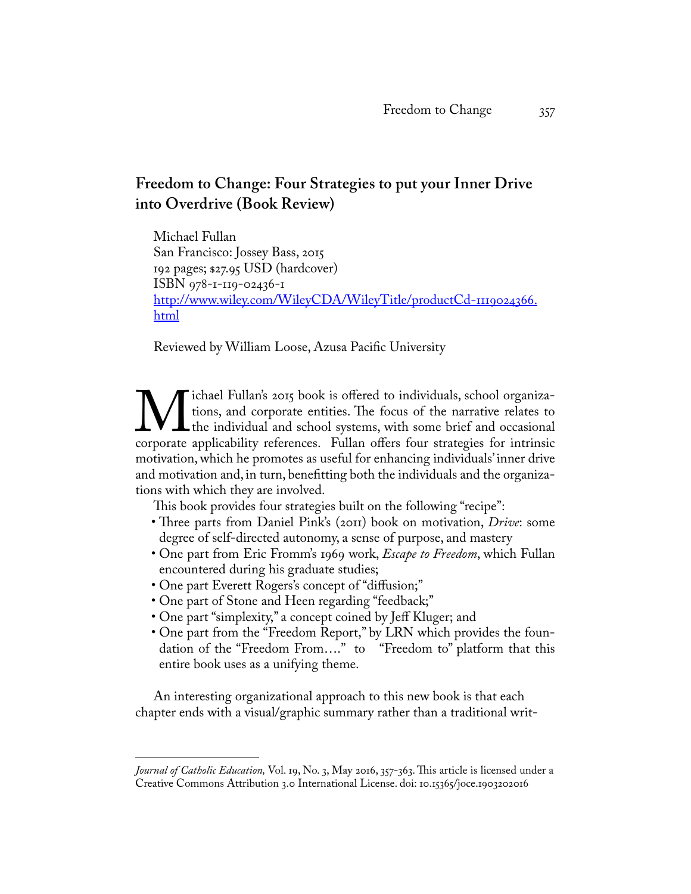### **Freedom to Change: Four Strategies to put your Inner Drive into Overdrive (Book Review)**

Michael Fullan San Francisco: Jossey Bass, 2015 192 pages; \$27.95 USD (hardcover) ISBN 978-1-119-02436-1 [http://www.wiley.com/WileyCDA/WileyTitle/productCd-1119024366.](http://www.wiley.com/WileyCDA/WileyTitle/productCd-1119024366.html) [html](http://www.wiley.com/WileyCDA/WileyTitle/productCd-1119024366.html)

Reviewed by William Loose, Azusa Pacific University

W significant Fullan's 2015 book is offered to individuals, school organizations, and corporate entities. The focus of the narrative relates to the individual and school systems, with some brief and occasional corporate ap tions, and corporate entities. The focus of the narrative relates to the individual and school systems, with some brief and occasional corporate applicability references. Fullan offers four strategies for intrinsic motivation, which he promotes as useful for enhancing individuals' inner drive and motivation and, in turn, benefitting both the individuals and the organizations with which they are involved.

This book provides four strategies built on the following "recipe":

- Three parts from Daniel Pink's (2011) book on motivation, *Drive*: some degree of self-directed autonomy, a sense of purpose, and mastery
- One part from Eric Fromm's 1969 work, *Escape to Freedom*, which Fullan encountered during his graduate studies;
- One part Everett Rogers's concept of "diffusion;"
- One part of Stone and Heen regarding "feedback;"
- One part "simplexity," a concept coined by Jeff Kluger; and
- One part from the "Freedom Report," by LRN which provides the foundation of the "Freedom From…." to "Freedom to" platform that this entire book uses as a unifying theme.

An interesting organizational approach to this new book is that each chapter ends with a visual/graphic summary rather than a traditional writ-

*Journal of Catholic Education,* Vol. 19, No. 3, May 2016, 357-363. This article is licensed under a Creative Commons Attribution 3.0 International License. doi: 10.15365/joce.1903202016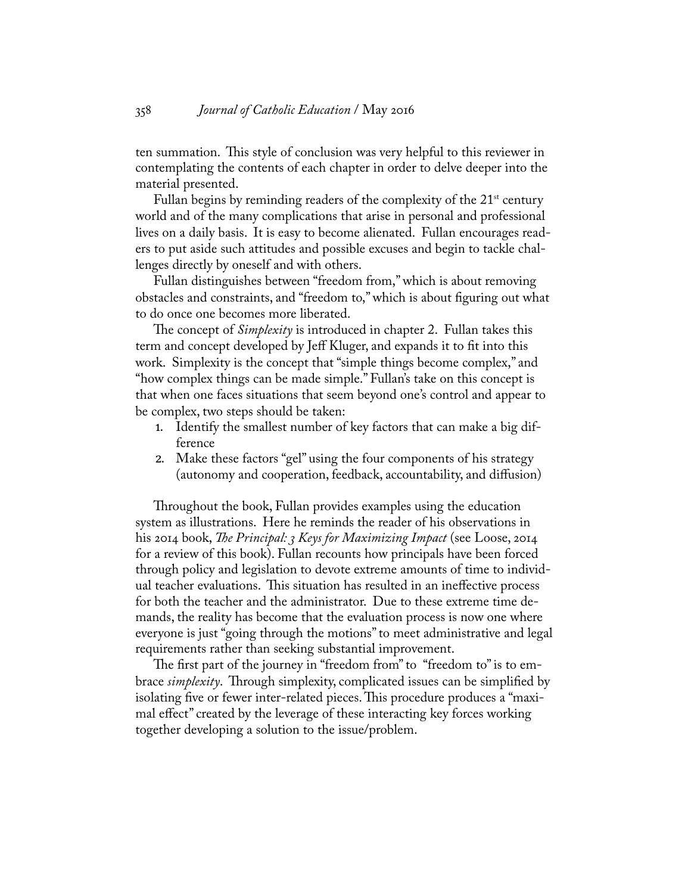ten summation. This style of conclusion was very helpful to this reviewer in contemplating the contents of each chapter in order to delve deeper into the material presented.

Fullan begins by reminding readers of the complexity of the  $21<sup>st</sup>$  century world and of the many complications that arise in personal and professional lives on a daily basis. It is easy to become alienated. Fullan encourages readers to put aside such attitudes and possible excuses and begin to tackle challenges directly by oneself and with others.

Fullan distinguishes between "freedom from," which is about removing obstacles and constraints, and "freedom to," which is about figuring out what to do once one becomes more liberated.

The concept of *Simplexity* is introduced in chapter 2. Fullan takes this term and concept developed by Jeff Kluger, and expands it to fit into this work. Simplexity is the concept that "simple things become complex," and "how complex things can be made simple." Fullan's take on this concept is that when one faces situations that seem beyond one's control and appear to be complex, two steps should be taken:

- 1. Identify the smallest number of key factors that can make a big difference
- 2. Make these factors "gel" using the four components of his strategy (autonomy and cooperation, feedback, accountability, and diffusion)

Throughout the book, Fullan provides examples using the education system as illustrations. Here he reminds the reader of his observations in his 2014 book, *The Principal: 3 Keys for Maximizing Impact* (see Loose, 2014 for a review of this book). Fullan recounts how principals have been forced through policy and legislation to devote extreme amounts of time to individual teacher evaluations. This situation has resulted in an ineffective process for both the teacher and the administrator. Due to these extreme time demands, the reality has become that the evaluation process is now one where everyone is just "going through the motions" to meet administrative and legal requirements rather than seeking substantial improvement.

The first part of the journey in "freedom from" to "freedom to" is to embrace *simplexity*. Through simplexity, complicated issues can be simplified by isolating five or fewer inter-related pieces. This procedure produces a "maximal effect" created by the leverage of these interacting key forces working together developing a solution to the issue/problem.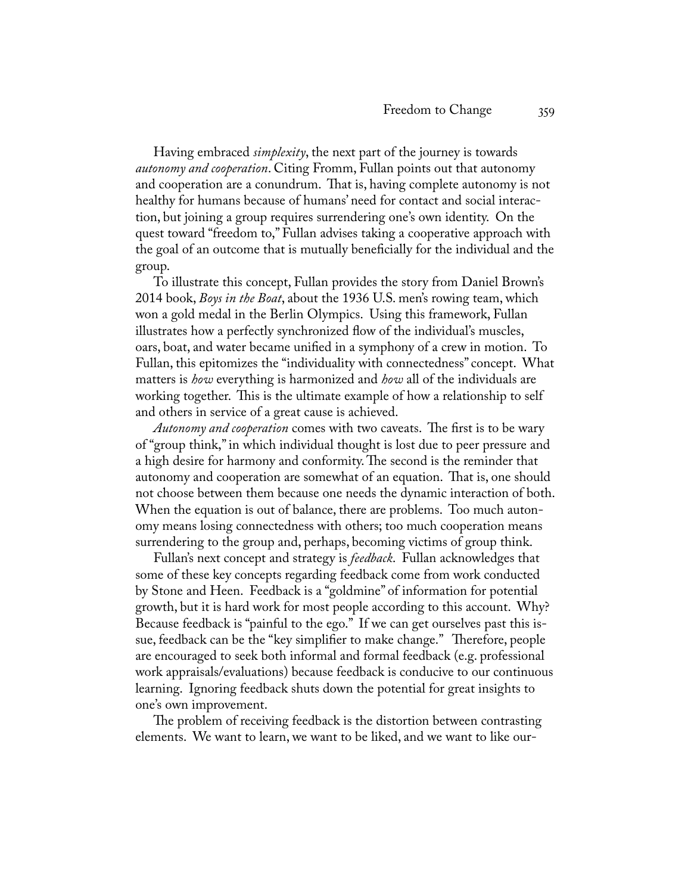Having embraced *simplexity*, the next part of the journey is towards *autonomy and cooperation*. Citing Fromm, Fullan points out that autonomy and cooperation are a conundrum. That is, having complete autonomy is not healthy for humans because of humans' need for contact and social interaction, but joining a group requires surrendering one's own identity. On the quest toward "freedom to," Fullan advises taking a cooperative approach with the goal of an outcome that is mutually beneficially for the individual and the group.

To illustrate this concept, Fullan provides the story from Daniel Brown's 2014 book, *Boys in the Boat*, about the 1936 U.S. men's rowing team, which won a gold medal in the Berlin Olympics. Using this framework, Fullan illustrates how a perfectly synchronized flow of the individual's muscles, oars, boat, and water became unified in a symphony of a crew in motion. To Fullan, this epitomizes the "individuality with connectedness" concept. What matters is *how* everything is harmonized and *how* all of the individuals are working together. This is the ultimate example of how a relationship to self and others in service of a great cause is achieved.

*Autonomy and cooperation* comes with two caveats. The first is to be wary of "group think," in which individual thought is lost due to peer pressure and a high desire for harmony and conformity. The second is the reminder that autonomy and cooperation are somewhat of an equation. That is, one should not choose between them because one needs the dynamic interaction of both. When the equation is out of balance, there are problems. Too much autonomy means losing connectedness with others; too much cooperation means surrendering to the group and, perhaps, becoming victims of group think.

Fullan's next concept and strategy is *feedback*. Fullan acknowledges that some of these key concepts regarding feedback come from work conducted by Stone and Heen. Feedback is a "goldmine" of information for potential growth, but it is hard work for most people according to this account. Why? Because feedback is "painful to the ego." If we can get ourselves past this issue, feedback can be the "key simplifier to make change." Therefore, people are encouraged to seek both informal and formal feedback (e.g. professional work appraisals/evaluations) because feedback is conducive to our continuous learning. Ignoring feedback shuts down the potential for great insights to one's own improvement.

The problem of receiving feedback is the distortion between contrasting elements. We want to learn, we want to be liked, and we want to like our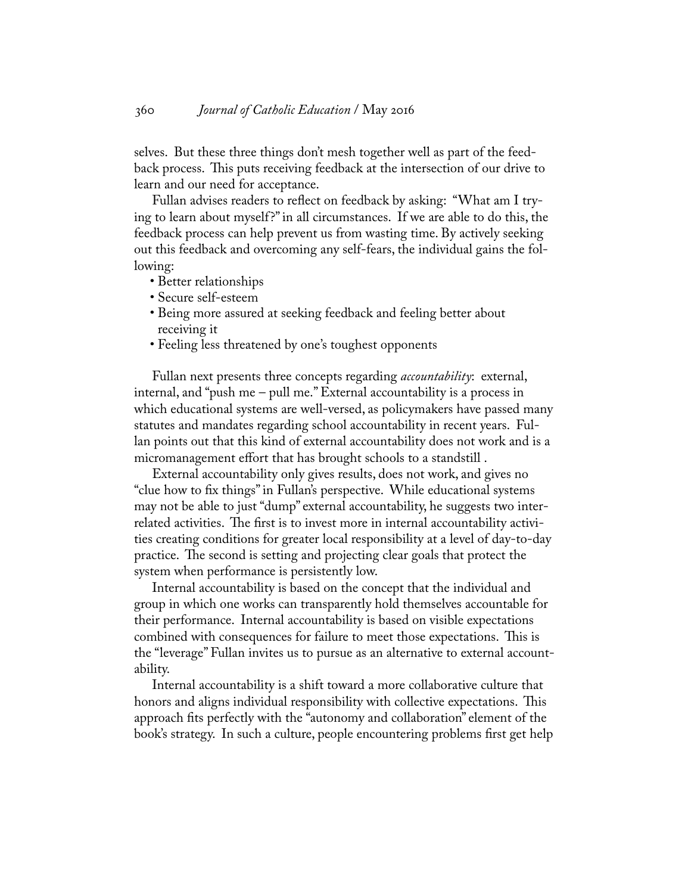selves. But these three things don't mesh together well as part of the feedback process. This puts receiving feedback at the intersection of our drive to learn and our need for acceptance.

Fullan advises readers to reflect on feedback by asking: "What am I trying to learn about myself?" in all circumstances. If we are able to do this, the feedback process can help prevent us from wasting time. By actively seeking out this feedback and overcoming any self-fears, the individual gains the following:

- Better relationships
- Secure self-esteem
- Being more assured at seeking feedback and feeling better about receiving it
- Feeling less threatened by one's toughest opponents

Fullan next presents three concepts regarding *accountability*: external, internal, and "push me – pull me." External accountability is a process in which educational systems are well-versed, as policymakers have passed many statutes and mandates regarding school accountability in recent years. Fullan points out that this kind of external accountability does not work and is a micromanagement effort that has brought schools to a standstill .

External accountability only gives results, does not work, and gives no "clue how to fix things" in Fullan's perspective. While educational systems may not be able to just "dump" external accountability, he suggests two interrelated activities. The first is to invest more in internal accountability activities creating conditions for greater local responsibility at a level of day-to-day practice. The second is setting and projecting clear goals that protect the system when performance is persistently low.

Internal accountability is based on the concept that the individual and group in which one works can transparently hold themselves accountable for their performance. Internal accountability is based on visible expectations combined with consequences for failure to meet those expectations. This is the "leverage" Fullan invites us to pursue as an alternative to external accountability.

Internal accountability is a shift toward a more collaborative culture that honors and aligns individual responsibility with collective expectations. This approach fits perfectly with the "autonomy and collaboration" element of the book's strategy. In such a culture, people encountering problems first get help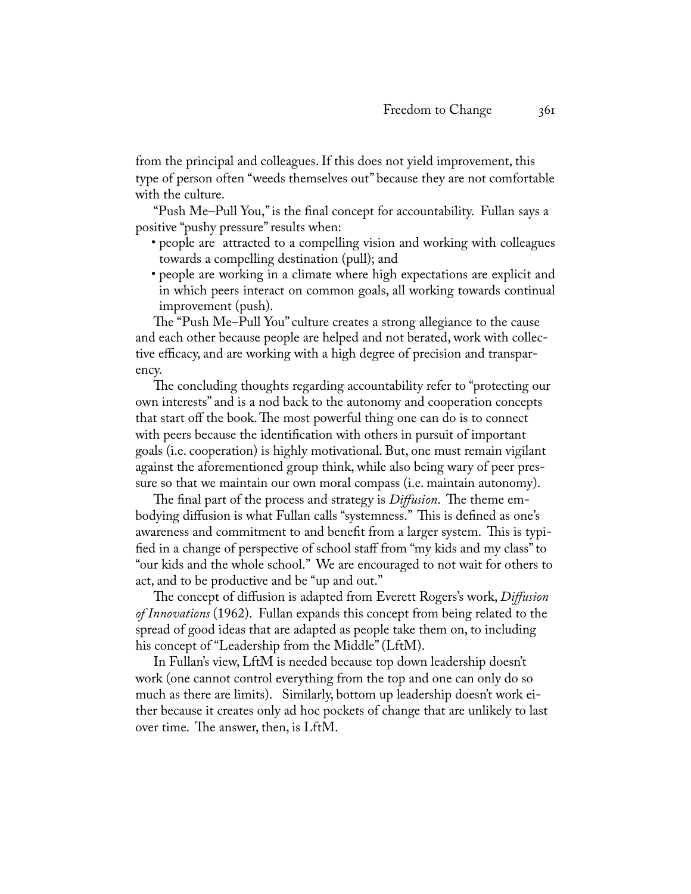from the principal and colleagues. If this does not yield improvement, this type of person often "weeds themselves out" because they are not comfortable with the culture.

"Push Me–Pull You," is the final concept for accountability. Fullan says a positive "pushy pressure" results when:

- people are attracted to a compelling vision and working with colleagues towards a compelling destination (pull); and
- people are working in a climate where high expectations are explicit and in which peers interact on common goals, all working towards continual improvement (push).

The "Push Me–Pull You" culture creates a strong allegiance to the cause and each other because people are helped and not berated, work with collective efficacy, and are working with a high degree of precision and transparency.

The concluding thoughts regarding accountability refer to "protecting our own interests" and is a nod back to the autonomy and cooperation concepts that start off the book. The most powerful thing one can do is to connect with peers because the identification with others in pursuit of important goals (i.e. cooperation) is highly motivational. But, one must remain vigilant against the aforementioned group think, while also being wary of peer pressure so that we maintain our own moral compass (i.e. maintain autonomy).

The final part of the process and strategy is *Diffusion*. The theme embodying diffusion is what Fullan calls "systemness." This is defined as one's awareness and commitment to and benefit from a larger system. This is typified in a change of perspective of school staff from "my kids and my class" to "our kids and the whole school." We are encouraged to not wait for others to act, and to be productive and be "up and out."

The concept of diffusion is adapted from Everett Rogers's work, *Diffusion of Innovations* (1962). Fullan expands this concept from being related to the spread of good ideas that are adapted as people take them on, to including his concept of "Leadership from the Middle" (LftM).

In Fullan's view, LftM is needed because top down leadership doesn't work (one cannot control everything from the top and one can only do so much as there are limits). Similarly, bottom up leadership doesn't work either because it creates only ad hoc pockets of change that are unlikely to last over time. The answer, then, is LftM.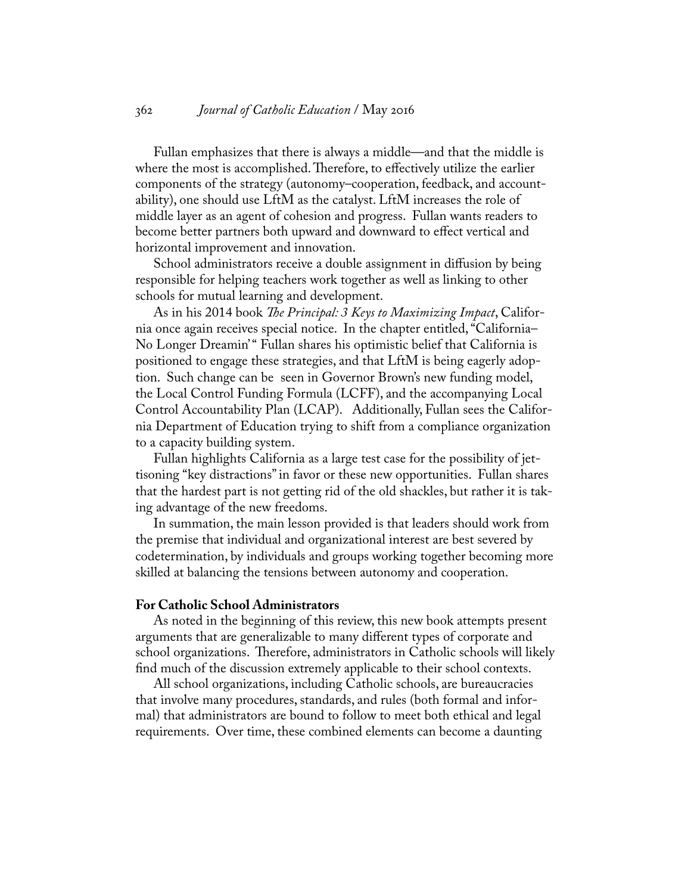Fullan emphasizes that there is always a middle—and that the middle is where the most is accomplished. Therefore, to effectively utilize the earlier components of the strategy (autonomy–cooperation, feedback, and accountability), one should use LftM as the catalyst. LftM increases the role of middle layer as an agent of cohesion and progress. Fullan wants readers to become better partners both upward and downward to effect vertical and horizontal improvement and innovation.

School administrators receive a double assignment in diffusion by being responsible for helping teachers work together as well as linking to other schools for mutual learning and development.

As in his 2014 book *The Principal: 3 Keys to Maximizing Impact*, California once again receives special notice. In the chapter entitled, "California– No Longer Dreamin'" Fullan shares his optimistic belief that California is positioned to engage these strategies, and that LftM is being eagerly adoption. Such change can be seen in Governor Brown's new funding model, the Local Control Funding Formula (LCFF), and the accompanying Local Control Accountability Plan (LCAP). Additionally, Fullan sees the California Department of Education trying to shift from a compliance organization to a capacity building system.

Fullan highlights California as a large test case for the possibility of jettisoning "key distractions" in favor or these new opportunities. Fullan shares that the hardest part is not getting rid of the old shackles, but rather it is taking advantage of the new freedoms.

In summation, the main lesson provided is that leaders should work from the premise that individual and organizational interest are best severed by codetermination, by individuals and groups working together becoming more skilled at balancing the tensions between autonomy and cooperation.

#### **For Catholic School Administrators**

As noted in the beginning of this review, this new book attempts present arguments that are generalizable to many different types of corporate and school organizations. Therefore, administrators in Catholic schools will likely find much of the discussion extremely applicable to their school contexts.

All school organizations, including Catholic schools, are bureaucracies that involve many procedures, standards, and rules (both formal and informal) that administrators are bound to follow to meet both ethical and legal requirements. Over time, these combined elements can become a daunting